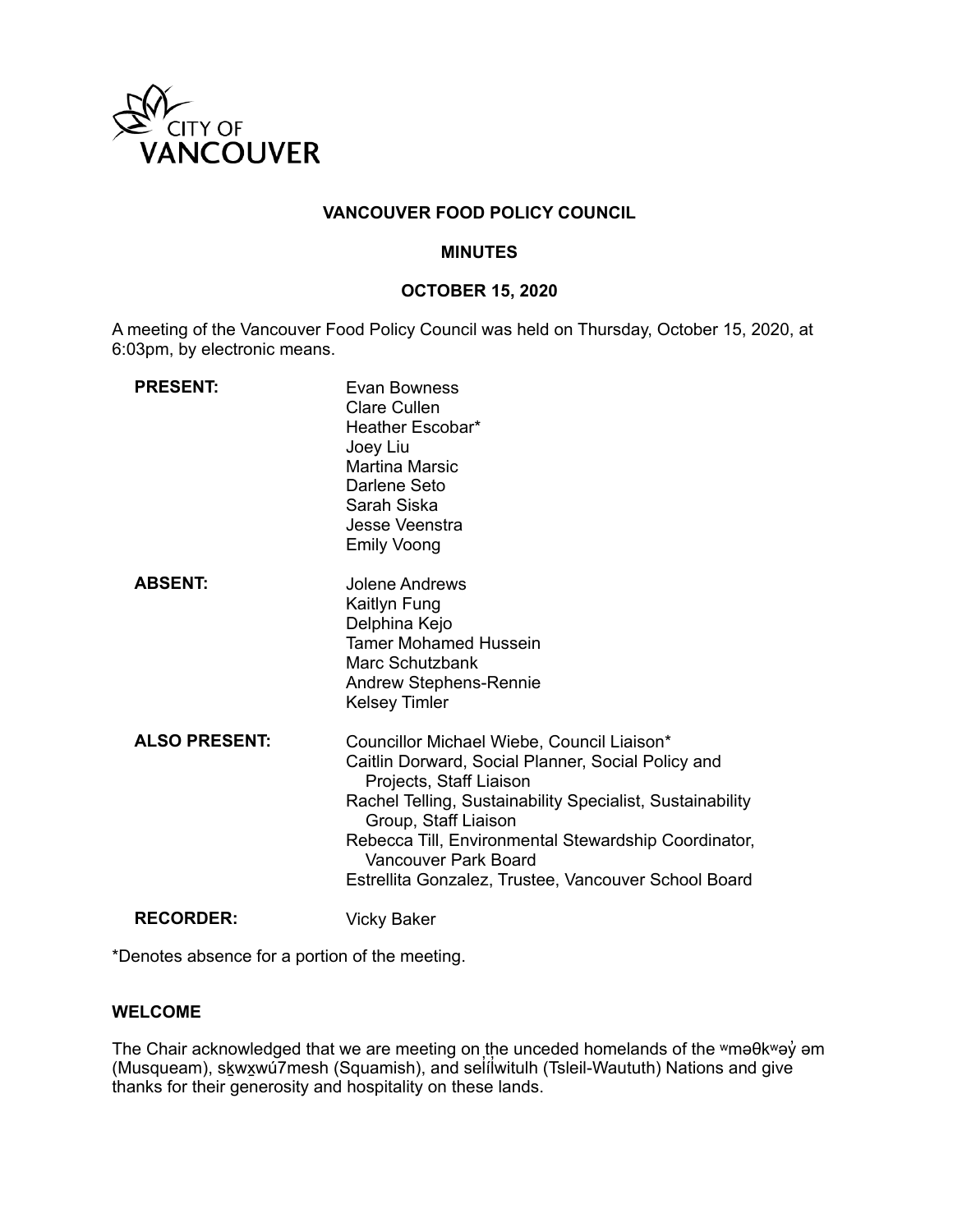

# **VANCOUVER FOOD POLICY COUNCIL**

### **MINUTES**

## **OCTOBER 15, 2020**

A meeting of the Vancouver Food Policy Council was held on Thursday, October 15, 2020, at 6:03pm, by electronic means.

| <b>PRESENT:</b>      | Evan Bowness<br><b>Clare Cullen</b><br>Heather Escobar*<br>Joey Liu<br><b>Martina Marsic</b><br>Darlene Seto<br>Sarah Siska<br>Jesse Veenstra<br><b>Emily Voong</b>                                                                                                                                                                                      |
|----------------------|----------------------------------------------------------------------------------------------------------------------------------------------------------------------------------------------------------------------------------------------------------------------------------------------------------------------------------------------------------|
| <b>ABSENT:</b>       | Jolene Andrews<br>Kaitlyn Fung<br>Delphina Kejo<br><b>Tamer Mohamed Hussein</b><br>Marc Schutzbank<br><b>Andrew Stephens-Rennie</b><br><b>Kelsey Timler</b>                                                                                                                                                                                              |
| <b>ALSO PRESENT:</b> | Councillor Michael Wiebe, Council Liaison*<br>Caitlin Dorward, Social Planner, Social Policy and<br>Projects, Staff Liaison<br>Rachel Telling, Sustainability Specialist, Sustainability<br>Group, Staff Liaison<br>Rebecca Till, Environmental Stewardship Coordinator,<br>Vancouver Park Board<br>Estrellita Gonzalez, Trustee, Vancouver School Board |
| <b>RECORDER:</b>     | Vicky Baker                                                                                                                                                                                                                                                                                                                                              |

\*Denotes absence for a portion of the meeting.

## **WELCOME**

The Chair acknowledged that we are meeting on the unceded homelands of the ʷməθkʷəy̓ əm (Musqueam), skౖwx̯wú7mesh (Squamish), and sel̓ílwitulh (Tsleil-Waututh) Nations and give thanks for their generosity and hospitality on these lands.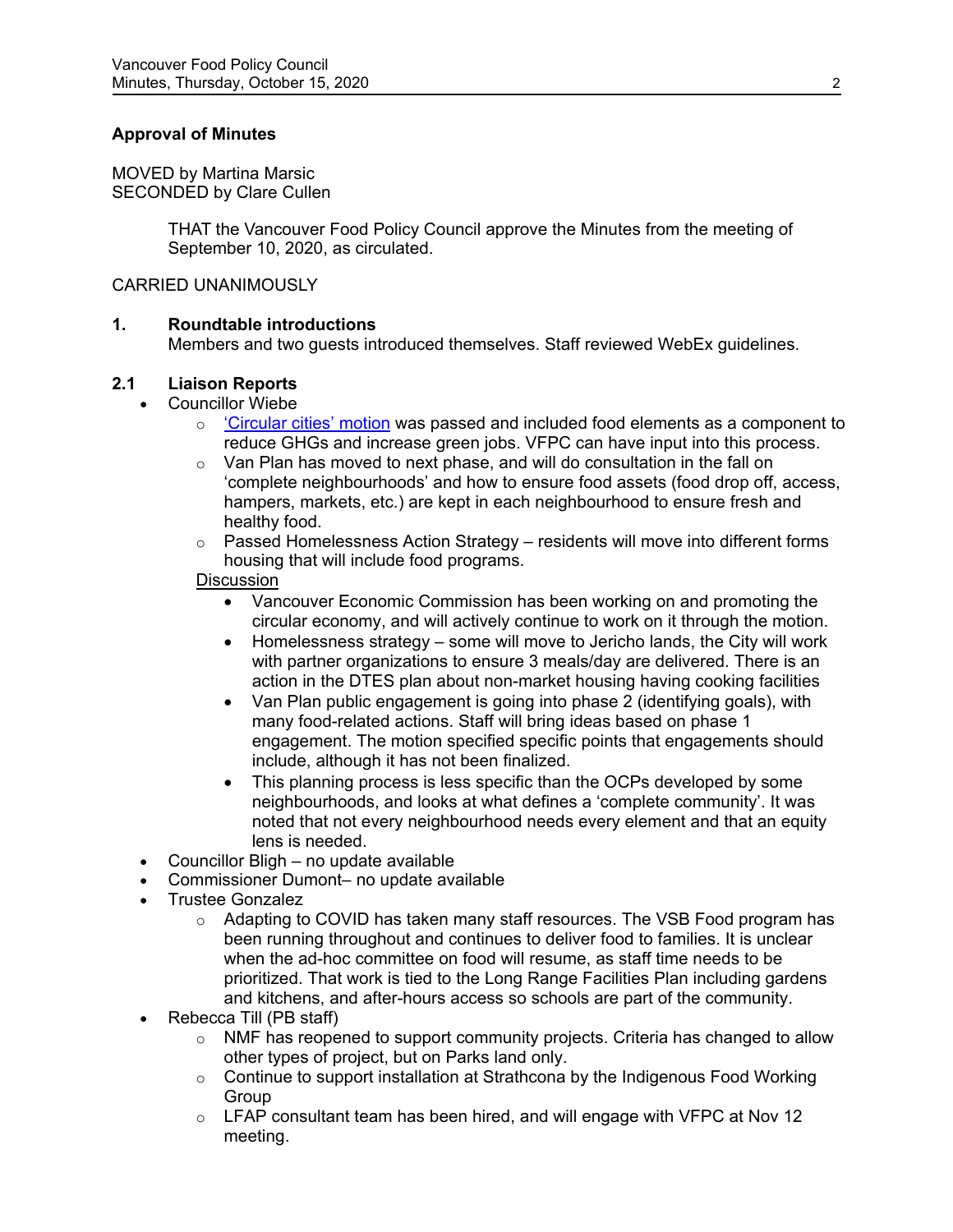# **Approval of Minutes**

MOVED by Martina Marsic SECONDED by Clare Cullen

> THAT the Vancouver Food Policy Council approve the Minutes from the meeting of September 10, 2020, as circulated.

### CARRIED UNANIMOUSLY

## **1. Roundtable introductions**

Members and two guests introduced themselves. Staff reviewed WebEx guidelines.

## **2.1 Liaison Reports**

- Councillor Wiebe
	- $\circ$  ['Circular cities'](https://council.vancouver.ca/20201007/documents/pspc13.pdf) motion was passed and included food elements as a component to reduce GHGs and increase green jobs. VFPC can have input into this process.
	- o Van Plan has moved to next phase, and will do consultation in the fall on 'complete neighbourhoods' and how to ensure food assets (food drop off, access, hampers, markets, etc.) are kept in each neighbourhood to ensure fresh and healthy food.
	- $\circ$  Passed Homelessness Action Strategy residents will move into different forms housing that will include food programs.

## **Discussion**

- Vancouver Economic Commission has been working on and promoting the circular economy, and will actively continue to work on it through the motion.
- Homelessness strategy some will move to Jericho lands, the City will work with partner organizations to ensure 3 meals/day are delivered. There is an action in the DTES plan about non-market housing having cooking facilities
- Van Plan public engagement is going into phase 2 (identifying goals), with many food-related actions. Staff will bring ideas based on phase 1 engagement. The motion specified specific points that engagements should include, although it has not been finalized.
- This planning process is less specific than the OCPs developed by some neighbourhoods, and looks at what defines a 'complete community'. It was noted that not every neighbourhood needs every element and that an equity lens is needed.
- Councillor Bligh no update available
- Commissioner Dumont– no update available
- Trustee Gonzalez
	- $\circ$  Adapting to COVID has taken many staff resources. The VSB Food program has been running throughout and continues to deliver food to families. It is unclear when the ad-hoc committee on food will resume, as staff time needs to be prioritized. That work is tied to the Long Range Facilities Plan including gardens and kitchens, and after-hours access so schools are part of the community.
- Rebecca Till (PB staff)
	- $\circ$  NMF has reopened to support community projects. Criteria has changed to allow other types of project, but on Parks land only.
	- o Continue to support installation at Strathcona by the Indigenous Food Working **Group**
	- $\circ$  LFAP consultant team has been hired, and will engage with VFPC at Nov 12 meeting.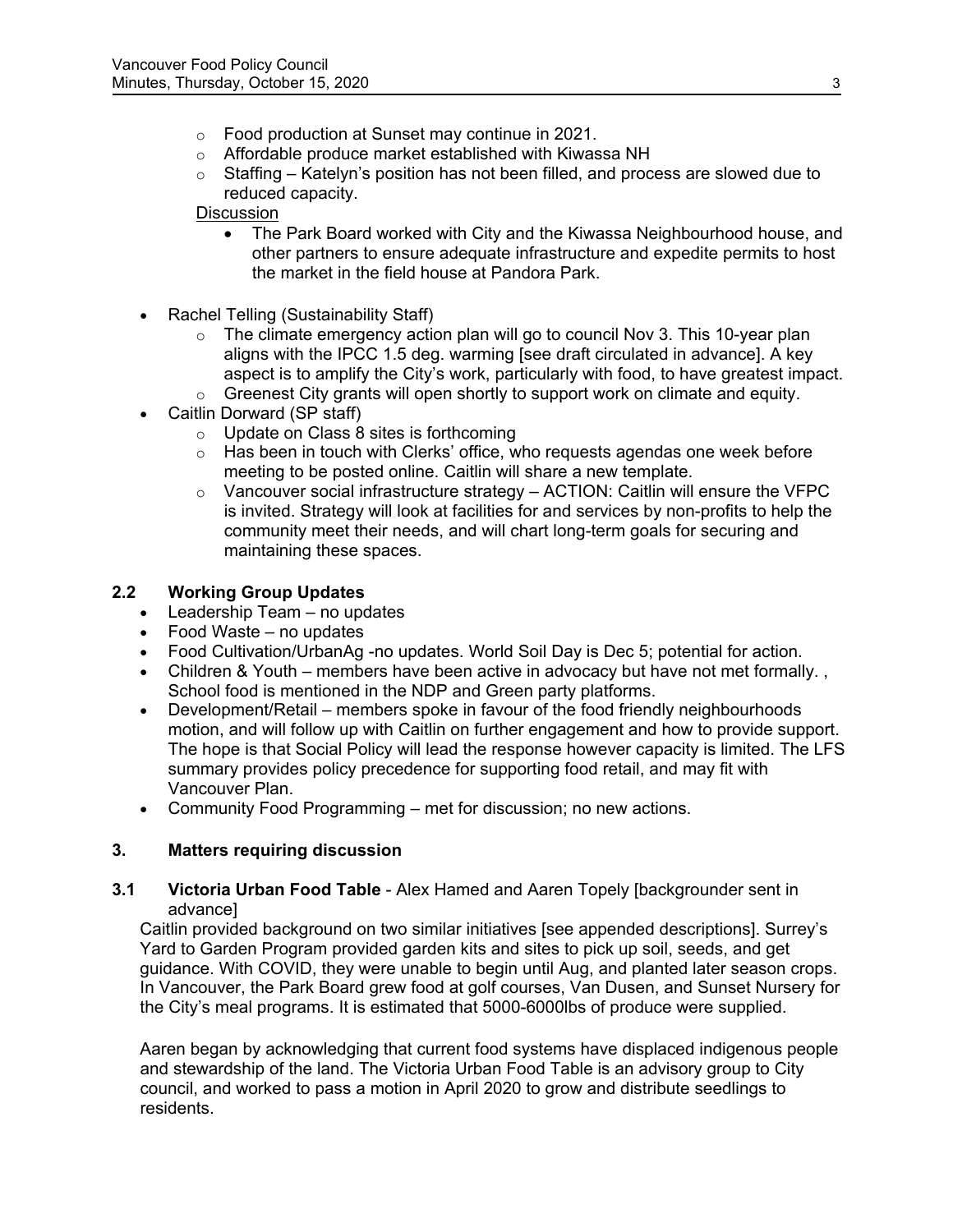- o Food production at Sunset may continue in 2021.
- o Affordable produce market established with Kiwassa NH
- $\circ$  Staffing Katelyn's position has not been filled, and process are slowed due to reduced capacity.

# **Discussion**

- The Park Board worked with City and the Kiwassa Neighbourhood house, and other partners to ensure adequate infrastructure and expedite permits to host the market in the field house at Pandora Park.
- Rachel Telling (Sustainability Staff)
	- $\circ$  The climate emergency action plan will go to council Nov 3. This 10-year plan aligns with the IPCC 1.5 deg. warming [see draft circulated in advance]. A key aspect is to amplify the City's work, particularly with food, to have greatest impact.
	- $\circ$  Greenest City grants will open shortly to support work on climate and equity.
- Caitlin Dorward (SP staff)
	- o Update on Class 8 sites is forthcoming
	- $\circ$  Has been in touch with Clerks' office, who requests agendas one week before meeting to be posted online. Caitlin will share a new template.
	- $\circ$  Vancouver social infrastructure strategy ACTION: Caitlin will ensure the VFPC is invited. Strategy will look at facilities for and services by non-profits to help the community meet their needs, and will chart long-term goals for securing and maintaining these spaces.

# **2.2 Working Group Updates**

- Leadership Team no updates
- Food Waste no updates
- Food Cultivation/UrbanAg -no updates. World Soil Day is Dec 5; potential for action.
- Children & Youth members have been active in advocacy but have not met formally. School food is mentioned in the NDP and Green party platforms.
- Development/Retail members spoke in favour of the food friendly neighbourhoods motion, and will follow up with Caitlin on further engagement and how to provide support. The hope is that Social Policy will lead the response however capacity is limited. The LFS summary provides policy precedence for supporting food retail, and may fit with Vancouver Plan.
- Community Food Programming met for discussion; no new actions.

# **3. Matters requiring discussion**

## **3.1 Victoria Urban Food Table** - Alex Hamed and Aaren Topely [backgrounder sent in advance]

Caitlin provided background on two similar initiatives [see appended descriptions]. Surrey's Yard to Garden Program provided garden kits and sites to pick up soil, seeds, and get guidance. With COVID, they were unable to begin until Aug, and planted later season crops. In Vancouver, the Park Board grew food at golf courses, Van Dusen, and Sunset Nursery for the City's meal programs. It is estimated that 5000-6000lbs of produce were supplied.

Aaren began by acknowledging that current food systems have displaced indigenous people and stewardship of the land. The Victoria Urban Food Table is an advisory group to City council, and worked to pass a motion in April 2020 to grow and distribute seedlings to residents.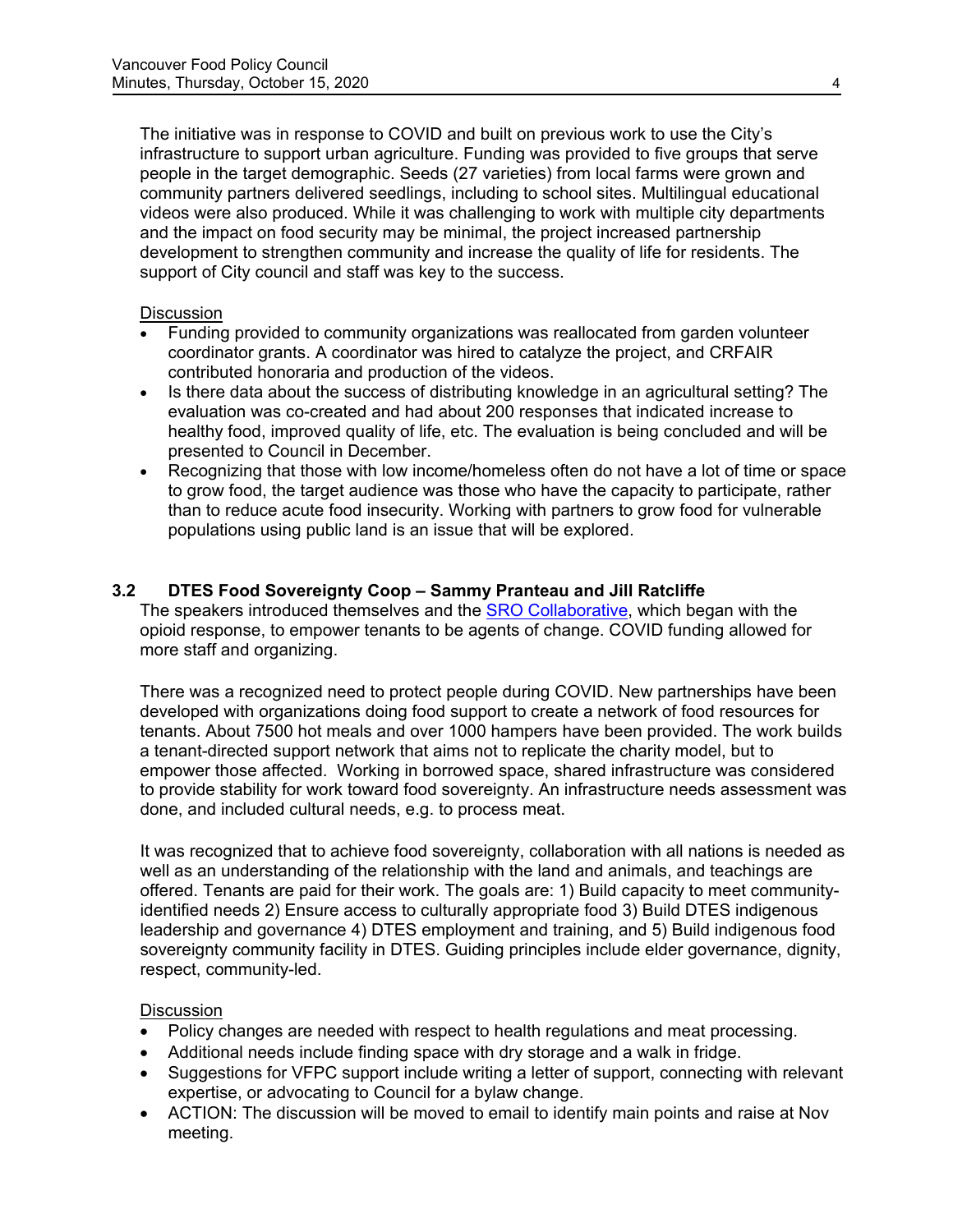The initiative was in response to COVID and built on previous work to use the City's infrastructure to support urban agriculture. Funding was provided to five groups that serve people in the target demographic. Seeds (27 varieties) from local farms were grown and community partners delivered seedlings, including to school sites. Multilingual educational videos were also produced. While it was challenging to work with multiple city departments and the impact on food security may be minimal, the project increased partnership development to strengthen community and increase the quality of life for residents. The support of City council and staff was key to the success.

## **Discussion**

- Funding provided to community organizations was reallocated from garden volunteer coordinator grants. A coordinator was hired to catalyze the project, and CRFAIR contributed honoraria and production of the videos.
- Is there data about the success of distributing knowledge in an agricultural setting? The evaluation was co-created and had about 200 responses that indicated increase to healthy food, improved quality of life, etc. The evaluation is being concluded and will be presented to Council in December.
- Recognizing that those with low income/homeless often do not have a lot of time or space to grow food, the target audience was those who have the capacity to participate, rather than to reduce acute food insecurity. Working with partners to grow food for vulnerable populations using public land is an issue that will be explored.

# **3.2 DTES Food Sovereignty Coop – Sammy Pranteau and Jill Ratcliffe**

The speakers introduced themselves and the [SRO Collaborative,](https://dtescollaborative.org/) which began with the opioid response, to empower tenants to be agents of change. COVID funding allowed for more staff and organizing.

There was a recognized need to protect people during COVID. New partnerships have been developed with organizations doing food support to create a network of food resources for tenants. About 7500 hot meals and over 1000 hampers have been provided. The work builds a tenant-directed support network that aims not to replicate the charity model, but to empower those affected. Working in borrowed space, shared infrastructure was considered to provide stability for work toward food sovereignty. An infrastructure needs assessment was done, and included cultural needs, e.g. to process meat.

It was recognized that to achieve food sovereignty, collaboration with all nations is needed as well as an understanding of the relationship with the land and animals, and teachings are offered. Tenants are paid for their work. The goals are: 1) Build capacity to meet communityidentified needs 2) Ensure access to culturally appropriate food 3) Build DTES indigenous leadership and governance 4) DTES employment and training, and 5) Build indigenous food sovereignty community facility in DTES. Guiding principles include elder governance, dignity, respect, community-led.

## **Discussion**

- Policy changes are needed with respect to health regulations and meat processing.
- Additional needs include finding space with dry storage and a walk in fridge.
- Suggestions for VFPC support include writing a letter of support, connecting with relevant expertise, or advocating to Council for a bylaw change.
- ACTION: The discussion will be moved to email to identify main points and raise at Nov meeting.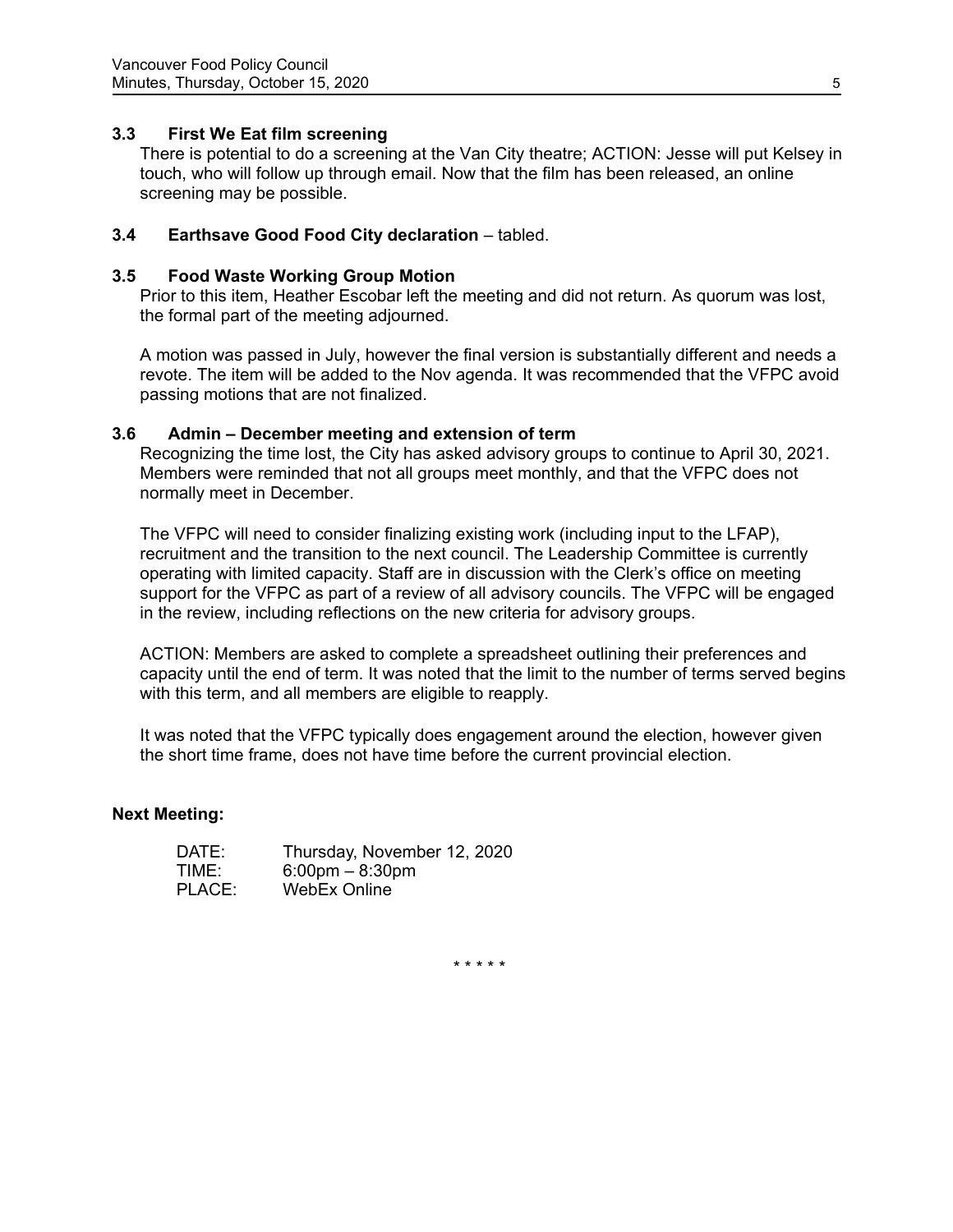## **3.3 First We Eat film screening**

There is potential to do a screening at the Van City theatre; ACTION: Jesse will put Kelsey in touch, who will follow up through email. Now that the film has been released, an online screening may be possible.

## **3.4 Earthsave Good Food City declaration** – tabled.

### **3.5 Food Waste Working Group Motion**

Prior to this item, Heather Escobar left the meeting and did not return. As quorum was lost, the formal part of the meeting adjourned.

A motion was passed in July, however the final version is substantially different and needs a revote. The item will be added to the Nov agenda. It was recommended that the VFPC avoid passing motions that are not finalized.

### **3.6 Admin – December meeting and extension of term**

Recognizing the time lost, the City has asked advisory groups to continue to April 30, 2021. Members were reminded that not all groups meet monthly, and that the VFPC does not normally meet in December.

The VFPC will need to consider finalizing existing work (including input to the LFAP), recruitment and the transition to the next council. The Leadership Committee is currently operating with limited capacity. Staff are in discussion with the Clerk's office on meeting support for the VFPC as part of a review of all advisory councils. The VFPC will be engaged in the review, including reflections on the new criteria for advisory groups.

ACTION: Members are asked to complete a spreadsheet outlining their preferences and capacity until the end of term. It was noted that the limit to the number of terms served begins with this term, and all members are eligible to reapply.

It was noted that the VFPC typically does engagement around the election, however given the short time frame, does not have time before the current provincial election.

### **Next Meeting:**

| DATE:  | Thursday, November 12, 2020       |
|--------|-----------------------------------|
| TIME:  | $6:00 \text{pm} - 8:30 \text{pm}$ |
| PLACE: | WebEx Online                      |

\* \* \* \* \*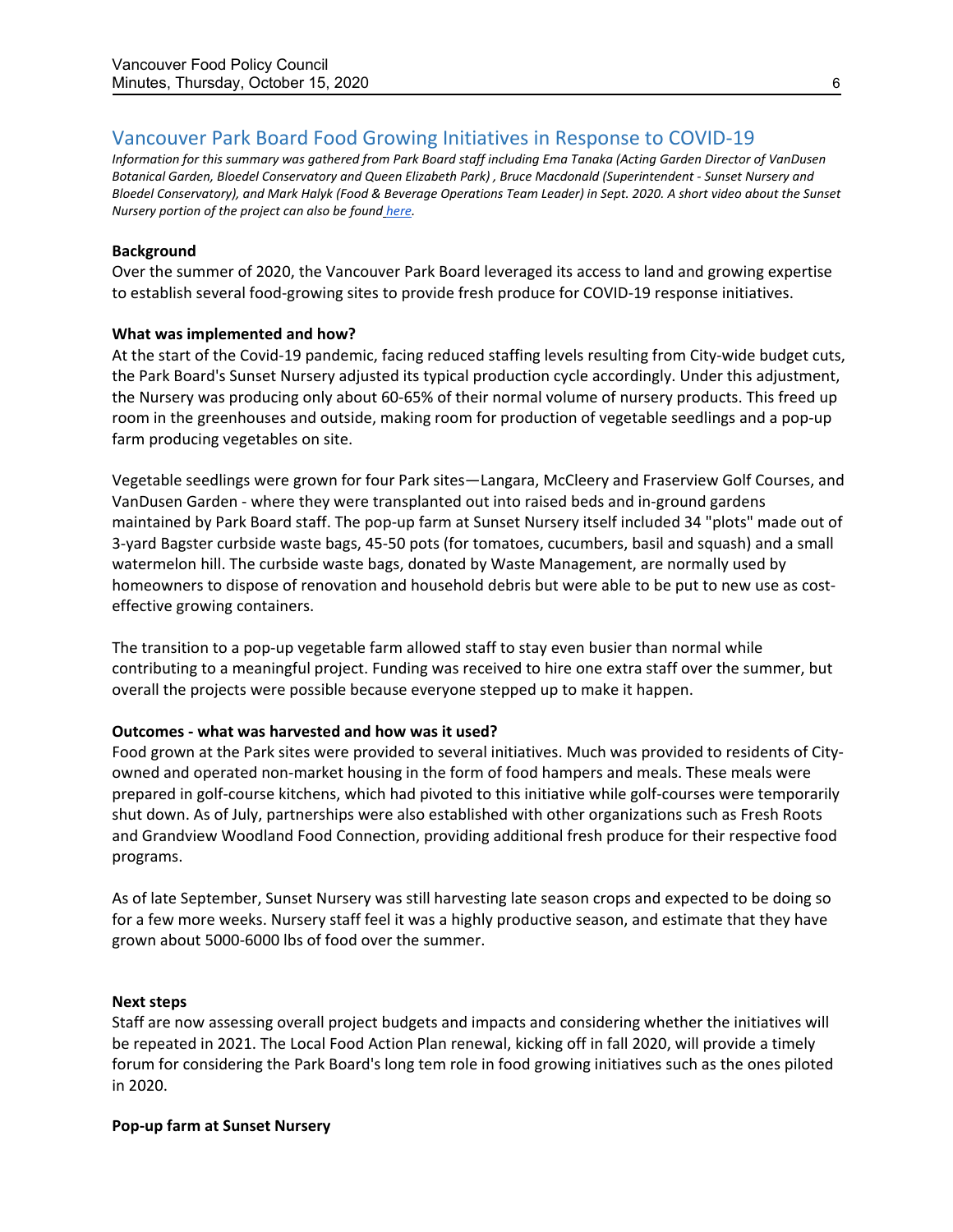# Vancouver Park Board Food Growing Initiatives in Response to COVID-19

*Information for this summary was gathered from Park Board staff including Ema Tanaka (Acting Garden Director of VanDusen Botanical Garden, Bloedel Conservatory and Queen Elizabeth Park) , Bruce Macdonald (Superintendent - Sunset Nursery and Bloedel Conservatory), and Mark Halyk (Food & Beverage Operations Team Leader) in Sept. 2020. A short video about the Sunset Nursery portion of the project can also be found [here.](https://www.youtube.com/watch?v=6y9PRmjPLQI)*

#### **Background**

Over the summer of 2020, the Vancouver Park Board leveraged its access to land and growing expertise to establish several food-growing sites to provide fresh produce for COVID-19 response initiatives.

#### **What was implemented and how?**

At the start of the Covid-19 pandemic, facing reduced staffing levels resulting from City-wide budget cuts, the Park Board's Sunset Nursery adjusted its typical production cycle accordingly. Under this adjustment, the Nursery was producing only about 60-65% of their normal volume of nursery products. This freed up room in the greenhouses and outside, making room for production of vegetable seedlings and a pop-up farm producing vegetables on site.

Vegetable seedlings were grown for four Park sites—Langara, McCleery and Fraserview Golf Courses, and VanDusen Garden - where they were transplanted out into raised beds and in-ground gardens maintained by Park Board staff. The pop-up farm at Sunset Nursery itself included 34 "plots" made out of 3-yard Bagster curbside waste bags, 45-50 pots (for tomatoes, cucumbers, basil and squash) and a small watermelon hill. The curbside waste bags, donated by Waste Management, are normally used by homeowners to dispose of renovation and household debris but were able to be put to new use as costeffective growing containers.

The transition to a pop-up vegetable farm allowed staff to stay even busier than normal while contributing to a meaningful project. Funding was received to hire one extra staff over the summer, but overall the projects were possible because everyone stepped up to make it happen.

### **Outcomes - what was harvested and how was it used?**

Food grown at the Park sites were provided to several initiatives. Much was provided to residents of Cityowned and operated non-market housing in the form of food hampers and meals. These meals were prepared in golf-course kitchens, which had pivoted to this initiative while golf-courses were temporarily shut down. As of July, partnerships were also established with other organizations such as Fresh Roots and Grandview Woodland Food Connection, providing additional fresh produce for their respective food programs.

As of late September, Sunset Nursery was still harvesting late season crops and expected to be doing so for a few more weeks. Nursery staff feel it was a highly productive season, and estimate that they have grown about 5000-6000 lbs of food over the summer.

#### **Next steps**

Staff are now assessing overall project budgets and impacts and considering whether the initiatives will be repeated in 2021. The Local Food Action Plan renewal, kicking off in fall 2020, will provide a timely forum for considering the Park Board's long tem role in food growing initiatives such as the ones piloted in 2020.

#### **Pop-up farm at Sunset Nursery**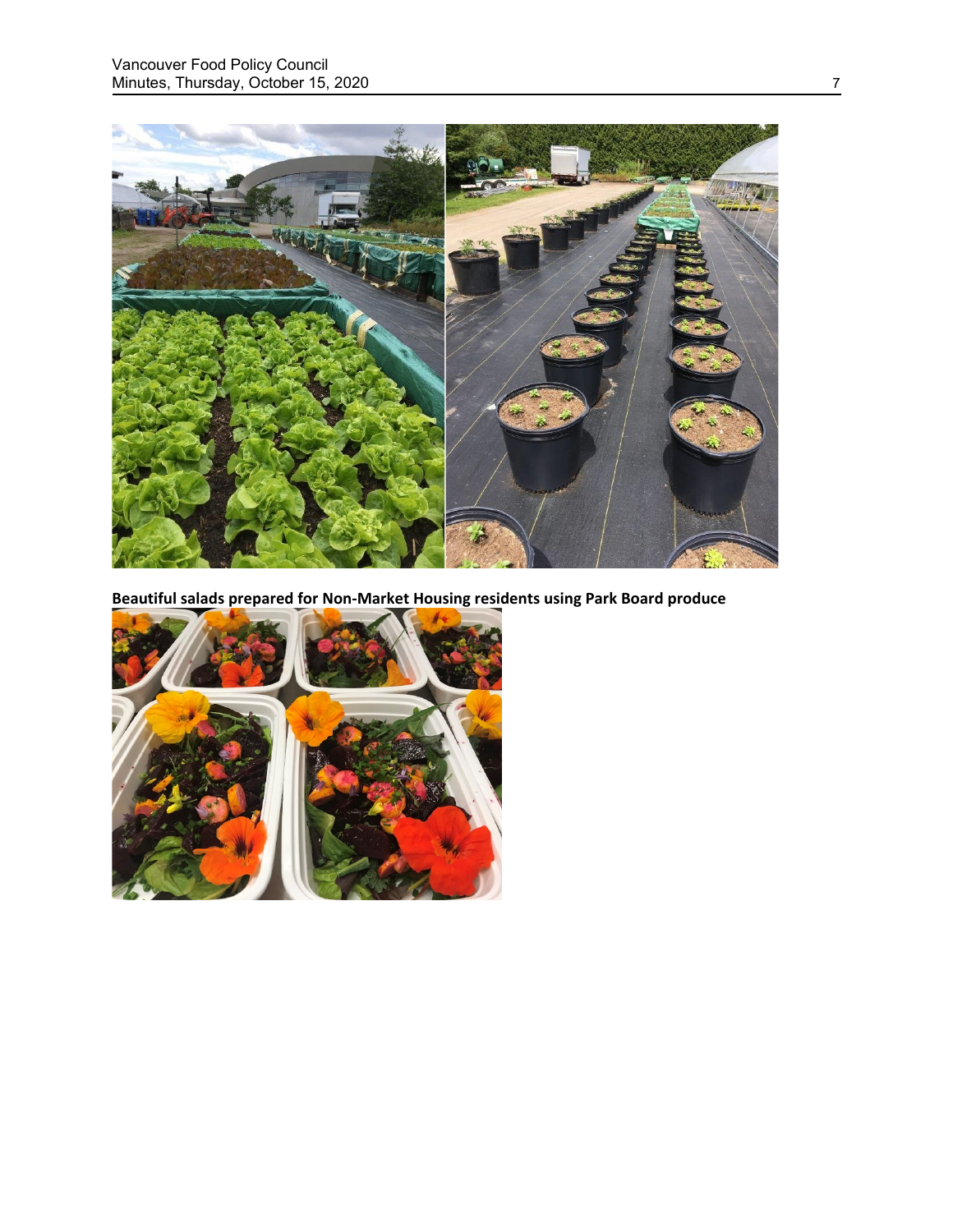

**Beautiful salads prepared for Non-Market Housing residents using Park Board produce**

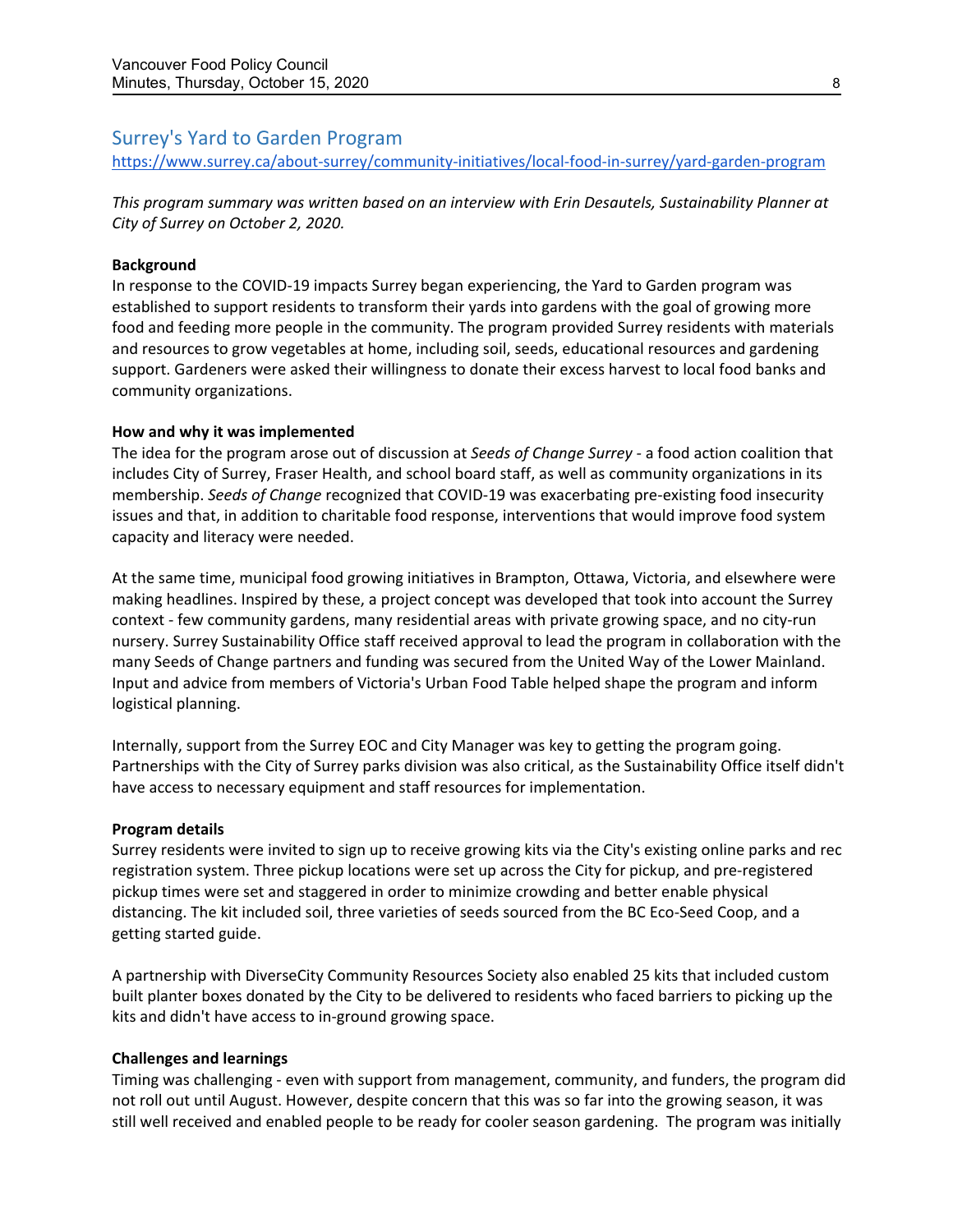# Surrey's Yard to Garden Program

<https://www.surrey.ca/about-surrey/community-initiatives/local-food-in-surrey/yard-garden-program>

*This program summary was written based on an interview with Erin Desautels, Sustainability Planner at City of Surrey on October 2, 2020.*

#### **Background**

In response to the COVID-19 impacts Surrey began experiencing, the Yard to Garden program was established to support residents to transform their yards into gardens with the goal of growing more food and feeding more people in the community. The program provided Surrey residents with materials and resources to grow vegetables at home, including soil, seeds, educational resources and gardening support. Gardeners were asked their willingness to donate their excess harvest to local food banks and community organizations.

#### **How and why it was implemented**

The idea for the program arose out of discussion at *Seeds of Change Surrey -* a food action coalition that includes City of Surrey, Fraser Health, and school board staff, as well as community organizations in its membership. *Seeds of Change* recognized that COVID-19 was exacerbating pre-existing food insecurity issues and that, in addition to charitable food response, interventions that would improve food system capacity and literacy were needed.

At the same time, municipal food growing initiatives in Brampton, Ottawa, Victoria, and elsewhere were making headlines. Inspired by these, a project concept was developed that took into account the Surrey context - few community gardens, many residential areas with private growing space, and no city-run nursery. Surrey Sustainability Office staff received approval to lead the program in collaboration with the many Seeds of Change partners and funding was secured from the United Way of the Lower Mainland. Input and advice from members of Victoria's Urban Food Table helped shape the program and inform logistical planning.

Internally, support from the Surrey EOC and City Manager was key to getting the program going. Partnerships with the City of Surrey parks division was also critical, as the Sustainability Office itself didn't have access to necessary equipment and staff resources for implementation.

#### **Program details**

Surrey residents were invited to sign up to receive growing kits via the City's existing online parks and rec registration system. Three pickup locations were set up across the City for pickup, and pre-registered pickup times were set and staggered in order to minimize crowding and better enable physical distancing. The kit included soil, three varieties of seeds sourced from the BC Eco-Seed Coop, and a getting started guide.

A partnership with DiverseCity Community Resources Society also enabled 25 kits that included custom built planter boxes donated by the City to be delivered to residents who faced barriers to picking up the kits and didn't have access to in-ground growing space.

#### **Challenges and learnings**

Timing was challenging - even with support from management, community, and funders, the program did not roll out until August. However, despite concern that this was so far into the growing season, it was still well received and enabled people to be ready for cooler season gardening. The program was initially